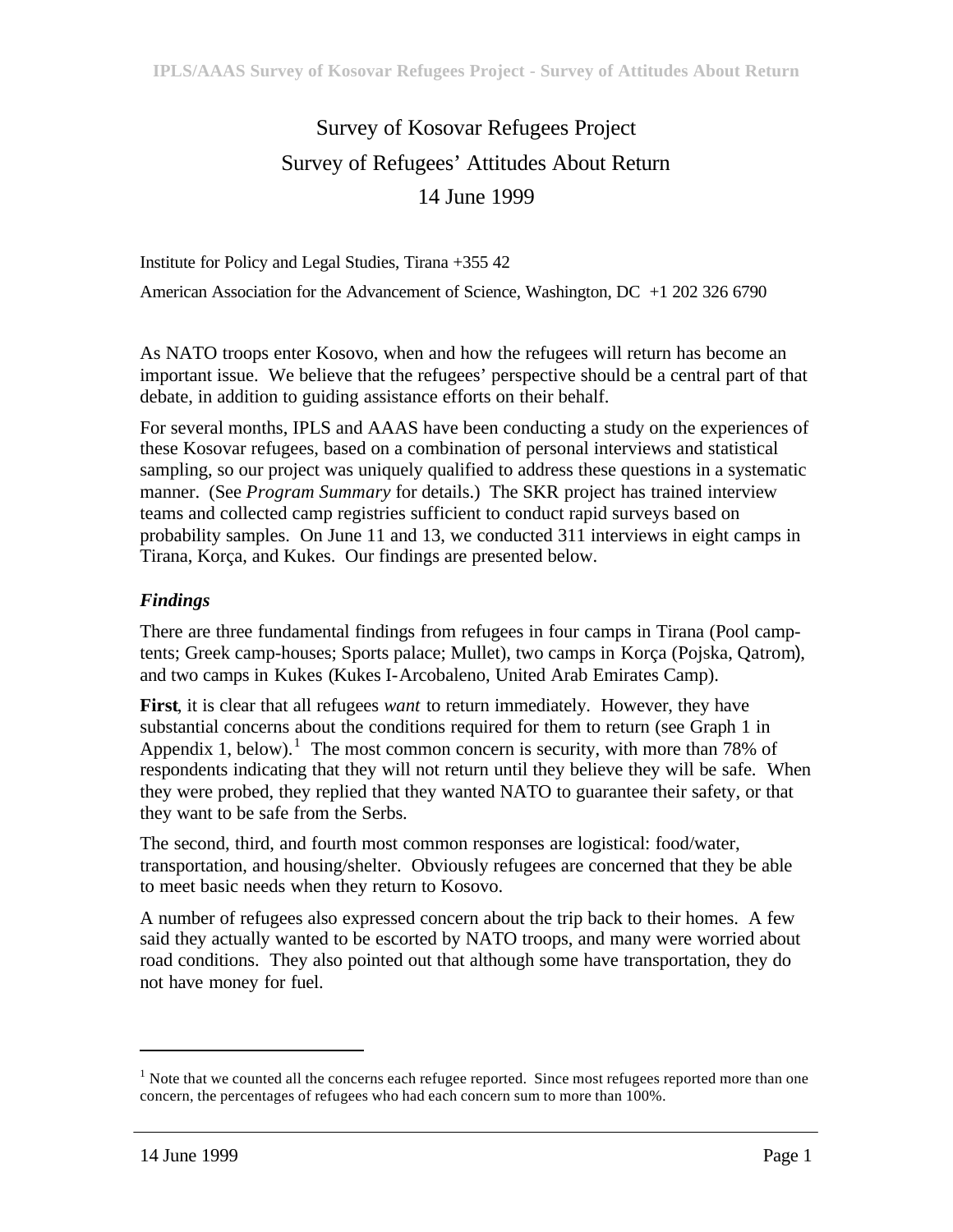# Survey of Kosovar Refugees Project Survey of Refugees' Attitudes About Return 14 June 1999

Institute for Policy and Legal Studies, Tirana +355 42 American Association for the Advancement of Science, Washington, DC +1 202 326 6790

As NATO troops enter Kosovo, when and how the refugees will return has become an important issue. We believe that the refugees' perspective should be a central part of that debate, in addition to guiding assistance efforts on their behalf.

For several months, IPLS and AAAS have been conducting a study on the experiences of these Kosovar refugees, based on a combination of personal interviews and statistical sampling, so our project was uniquely qualified to address these questions in a systematic manner. (See *Program Summary* for details.) The SKR project has trained interview teams and collected camp registries sufficient to conduct rapid surveys based on probability samples. On June 11 and 13, we conducted 311 interviews in eight camps in Tirana, Korça, and Kukes. Our findings are presented below.

## *Findings*

There are three fundamental findings from refugees in four camps in Tirana (Pool camptents; Greek camp-houses; Sports palace; Mullet), two camps in Korça (Pojska, Qatrom), and two camps in Kukes (Kukes I-Arcobaleno, United Arab Emirates Camp).

**First**, it is clear that all refugees *want* to return immediately. However, they have substantial concerns about the conditions required for them to return (see Graph 1 in Appendix 1, below).<sup>1</sup> The most common concern is security, with more than 78% of respondents indicating that they will not return until they believe they will be safe. When they were probed, they replied that they wanted NATO to guarantee their safety, or that they want to be safe from the Serbs.

The second, third, and fourth most common responses are logistical: food/water, transportation, and housing/shelter. Obviously refugees are concerned that they be able to meet basic needs when they return to Kosovo.

A number of refugees also expressed concern about the trip back to their homes. A few said they actually wanted to be escorted by NATO troops, and many were worried about road conditions. They also pointed out that although some have transportation, they do not have money for fuel.

 $\overline{a}$ 

 $1$  Note that we counted all the concerns each refugee reported. Since most refugees reported more than one concern, the percentages of refugees who had each concern sum to more than 100%.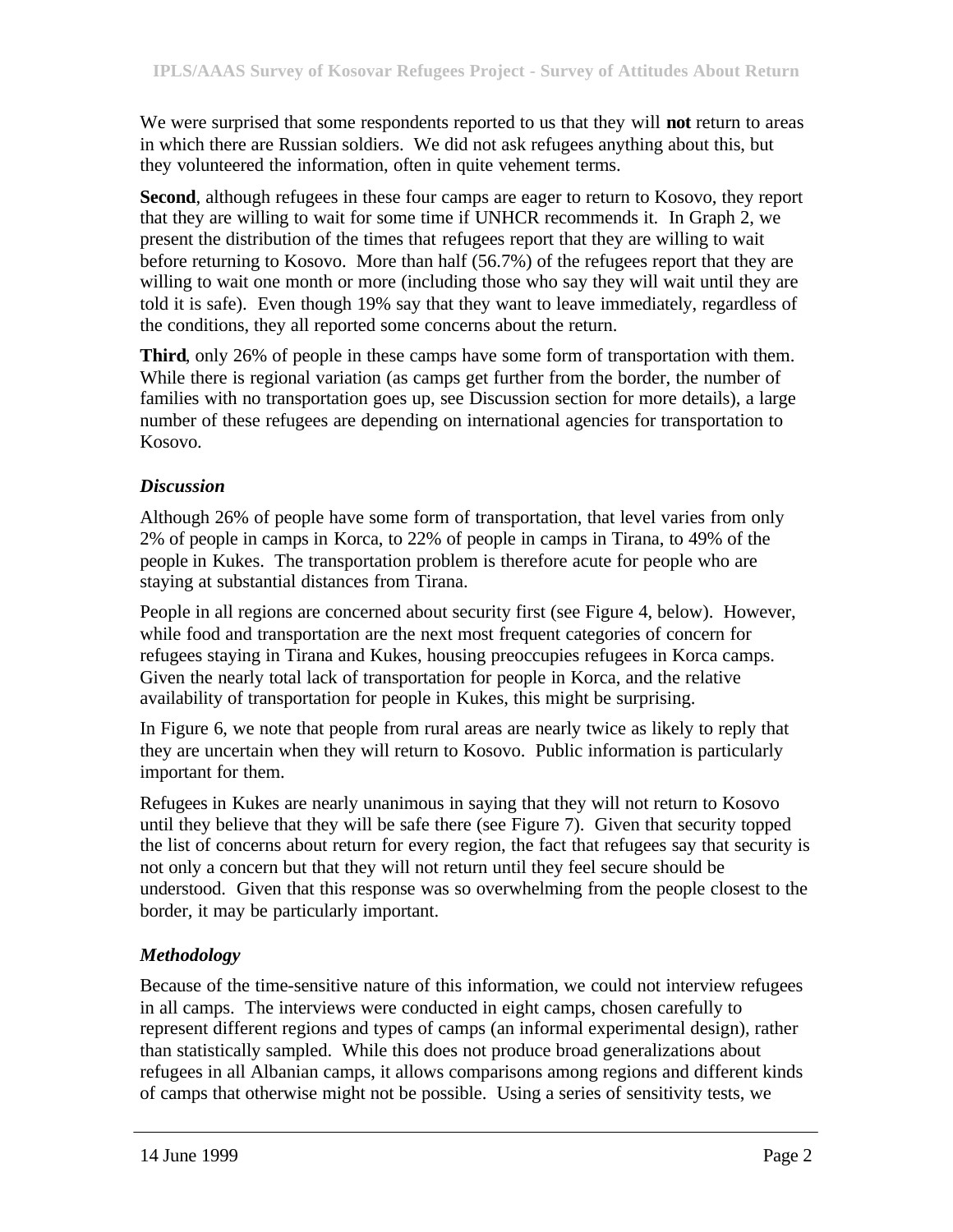We were surprised that some respondents reported to us that they will **not** return to areas in which there are Russian soldiers. We did not ask refugees anything about this, but they volunteered the information, often in quite vehement terms.

**Second**, although refugees in these four camps are eager to return to Kosovo, they report that they are willing to wait for some time if UNHCR recommends it. In Graph 2, we present the distribution of the times that refugees report that they are willing to wait before returning to Kosovo. More than half (56.7%) of the refugees report that they are willing to wait one month or more (including those who say they will wait until they are told it is safe). Even though 19% say that they want to leave immediately, regardless of the conditions, they all reported some concerns about the return.

**Third**, only 26% of people in these camps have some form of transportation with them. While there is regional variation (as camps get further from the border, the number of families with no transportation goes up, see Discussion section for more details), a large number of these refugees are depending on international agencies for transportation to Kosovo.

## *Discussion*

Although 26% of people have some form of transportation, that level varies from only 2% of people in camps in Korca, to 22% of people in camps in Tirana, to 49% of the people in Kukes. The transportation problem is therefore acute for people who are staying at substantial distances from Tirana.

People in all regions are concerned about security first (see Figure 4, below). However, while food and transportation are the next most frequent categories of concern for refugees staying in Tirana and Kukes, housing preoccupies refugees in Korca camps. Given the nearly total lack of transportation for people in Korca, and the relative availability of transportation for people in Kukes, this might be surprising.

In Figure 6, we note that people from rural areas are nearly twice as likely to reply that they are uncertain when they will return to Kosovo. Public information is particularly important for them.

Refugees in Kukes are nearly unanimous in saying that they will not return to Kosovo until they believe that they will be safe there (see Figure 7). Given that security topped the list of concerns about return for every region, the fact that refugees say that security is not only a concern but that they will not return until they feel secure should be understood. Given that this response was so overwhelming from the people closest to the border, it may be particularly important.

## *Methodology*

Because of the time-sensitive nature of this information, we could not interview refugees in all camps. The interviews were conducted in eight camps, chosen carefully to represent different regions and types of camps (an informal experimental design), rather than statistically sampled. While this does not produce broad generalizations about refugees in all Albanian camps, it allows comparisons among regions and different kinds of camps that otherwise might not be possible. Using a series of sensitivity tests, we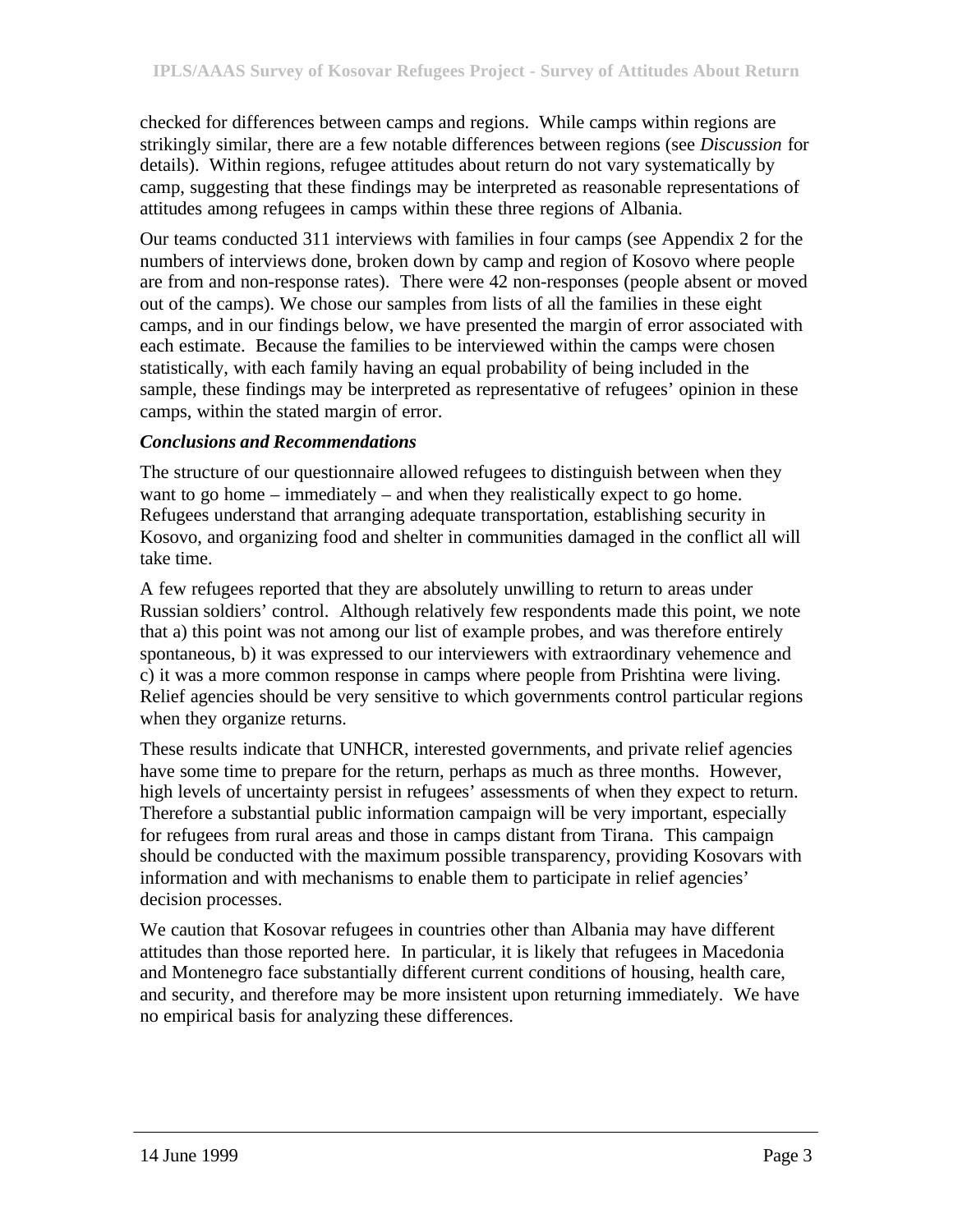checked for differences between camps and regions. While camps within regions are strikingly similar, there are a few notable differences between regions (see *Discussion* for details). Within regions, refugee attitudes about return do not vary systematically by camp, suggesting that these findings may be interpreted as reasonable representations of attitudes among refugees in camps within these three regions of Albania.

Our teams conducted 311 interviews with families in four camps (see Appendix 2 for the numbers of interviews done, broken down by camp and region of Kosovo where people are from and non-response rates). There were 42 non-responses (people absent or moved out of the camps). We chose our samples from lists of all the families in these eight camps, and in our findings below, we have presented the margin of error associated with each estimate. Because the families to be interviewed within the camps were chosen statistically, with each family having an equal probability of being included in the sample, these findings may be interpreted as representative of refugees' opinion in these camps, within the stated margin of error.

### *Conclusions and Recommendations*

The structure of our questionnaire allowed refugees to distinguish between when they want to go home – immediately – and when they realistically expect to go home. Refugees understand that arranging adequate transportation, establishing security in Kosovo, and organizing food and shelter in communities damaged in the conflict all will take time.

A few refugees reported that they are absolutely unwilling to return to areas under Russian soldiers' control. Although relatively few respondents made this point, we note that a) this point was not among our list of example probes, and was therefore entirely spontaneous, b) it was expressed to our interviewers with extraordinary vehemence and c) it was a more common response in camps where people from Prishtina were living. Relief agencies should be very sensitive to which governments control particular regions when they organize returns.

These results indicate that UNHCR, interested governments, and private relief agencies have some time to prepare for the return, perhaps as much as three months. However, high levels of uncertainty persist in refugees' assessments of when they expect to return. Therefore a substantial public information campaign will be very important, especially for refugees from rural areas and those in camps distant from Tirana. This campaign should be conducted with the maximum possible transparency, providing Kosovars with information and with mechanisms to enable them to participate in relief agencies' decision processes.

We caution that Kosovar refugees in countries other than Albania may have different attitudes than those reported here. In particular, it is likely that refugees in Macedonia and Montenegro face substantially different current conditions of housing, health care, and security, and therefore may be more insistent upon returning immediately. We have no empirical basis for analyzing these differences.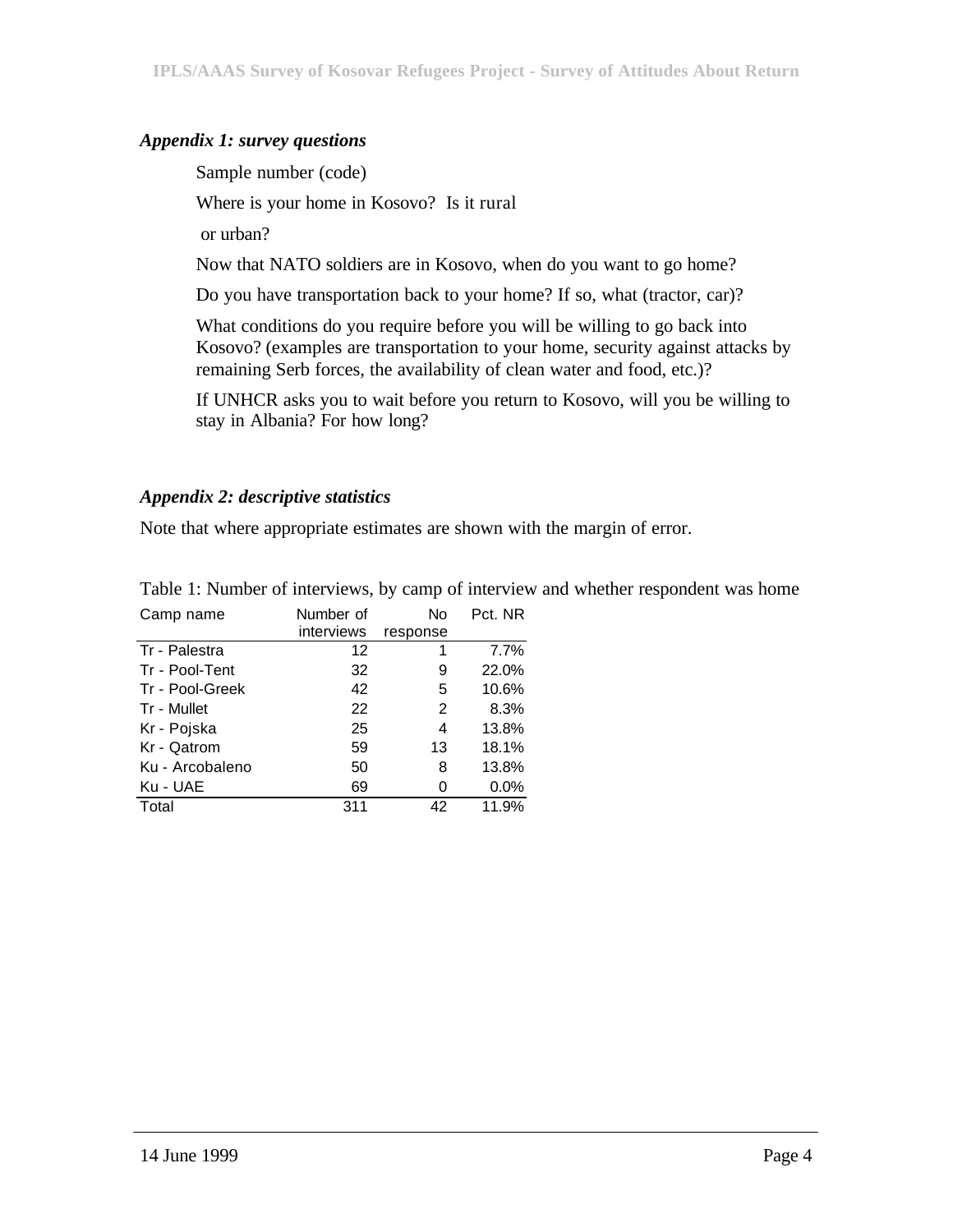### *Appendix 1: survey questions*

Sample number (code)

Where is your home in Kosovo? Is it rural

or urban?

Now that NATO soldiers are in Kosovo, when do you want to go home?

Do you have transportation back to your home? If so, what (tractor, car)?

What conditions do you require before you will be willing to go back into Kosovo? (examples are transportation to your home, security against attacks by remaining Serb forces, the availability of clean water and food, etc.)?

If UNHCR asks you to wait before you return to Kosovo, will you be willing to stay in Albania? For how long?

### *Appendix 2: descriptive statistics*

Note that where appropriate estimates are shown with the margin of error.

| Camp name       | Number of         | No       | Pct. NR |
|-----------------|-------------------|----------|---------|
|                 | interviews        | response |         |
| Tr - Palestra   | $12 \overline{ }$ | 1        | 7.7%    |
| Tr - Pool-Tent  | 32                | 9        | 22.0%   |
| Tr - Pool-Greek | 42                | 5        | 10.6%   |
| Tr - Mullet     | 22                | 2        | 8.3%    |
| Kr - Pojska     | 25                | 4        | 13.8%   |
| Kr - Qatrom     | 59                | 13       | 18.1%   |
| Ku - Arcobaleno | 50                | 8        | 13.8%   |
| Ku - UAE        | 69                | 0        | 0.0%    |
| Total           | 311               | 42       | 11.9%   |

Table 1: Number of interviews, by camp of interview and whether respondent was home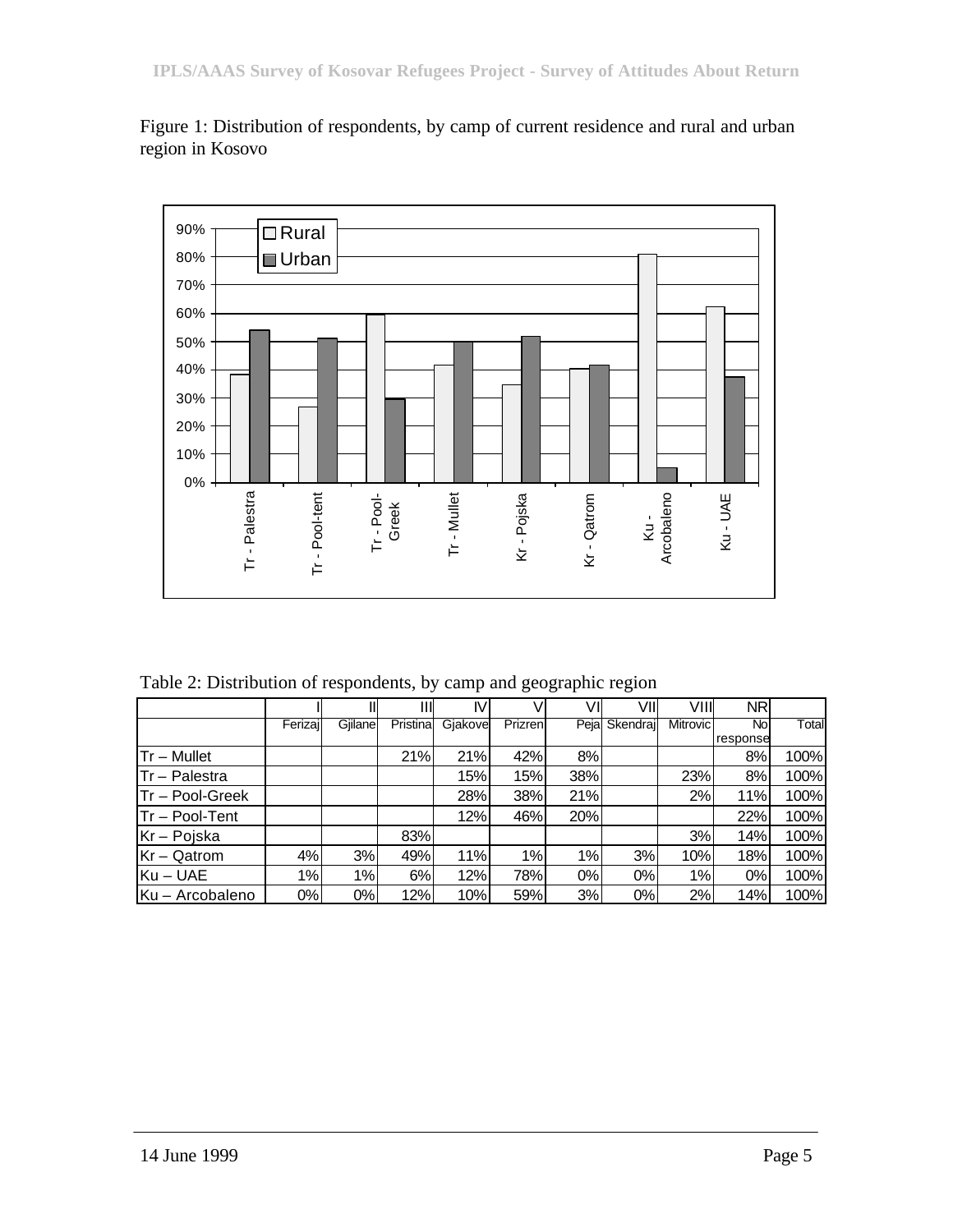

Figure 1: Distribution of respondents, by camp of current residence and rural and urban region in Kosovo

Table 2: Distribution of respondents, by camp and geographic region

|                  |         |          | Ш         | IV      |          | V١    | VII            | VIII            | <b>NR</b> |       |
|------------------|---------|----------|-----------|---------|----------|-------|----------------|-----------------|-----------|-------|
|                  | Ferizaj | Giilanel | Pristinal | Giakove | Prizrenl |       | Pejal Skendraj | <b>Mitrovic</b> | Nol       | Total |
|                  |         |          |           |         |          |       |                |                 | response  |       |
| $Tr - Mullet$    |         |          | 21%       | 21%     | 42%      | 8%    |                |                 | 8%        | 100%  |
| $Tr - Palestra$  |         |          |           | 15%     | 15%      | 38%   |                | 23%             | 8%        | 100%  |
| ITr – Pool-Greek |         |          |           | 28%     | 38%      | 21%   |                | 2%              | 11%       | 100%  |
| $Tr - Pool-Tent$ |         |          |           | 12%     | 46%      | 20%   |                |                 | 22%       | 100%  |
| Kr – Pojska      |         |          | 83%       |         |          |       |                | 3%              | 14%       | 100%  |
| $Kr - Qatrom$    | 4%      | 3%       | 49%       | 11%     | 1%       | $1\%$ | 3%             | 10%             | 18%       | 100%  |
| $Ku - UAE$       | 1%      | 1%       | 6%        | 12%     | 78%      | 0%    | $0\%$          | 1%              | $0\%$     | 100%  |
| Ku - Arcobaleno  | 0%      | $0\%$    | 12%       | 10%     | 59%      | 3%    | 0%             | 2%              | 14%       | 100%  |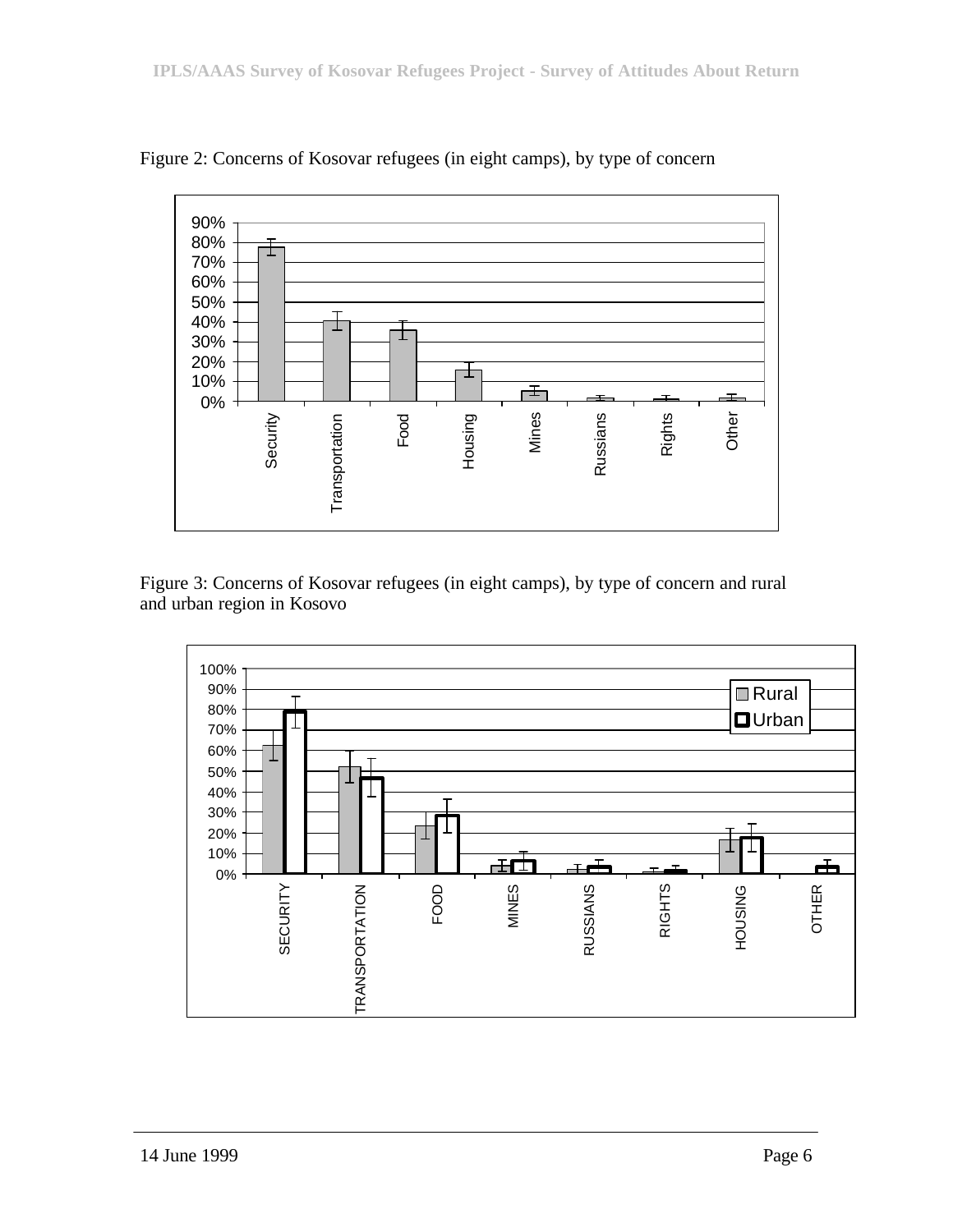

Figure 2: Concerns of Kosovar refugees (in eight camps), by type of concern

Figure 3: Concerns of Kosovar refugees (in eight camps), by type of concern and rural and urban region in Kosovo

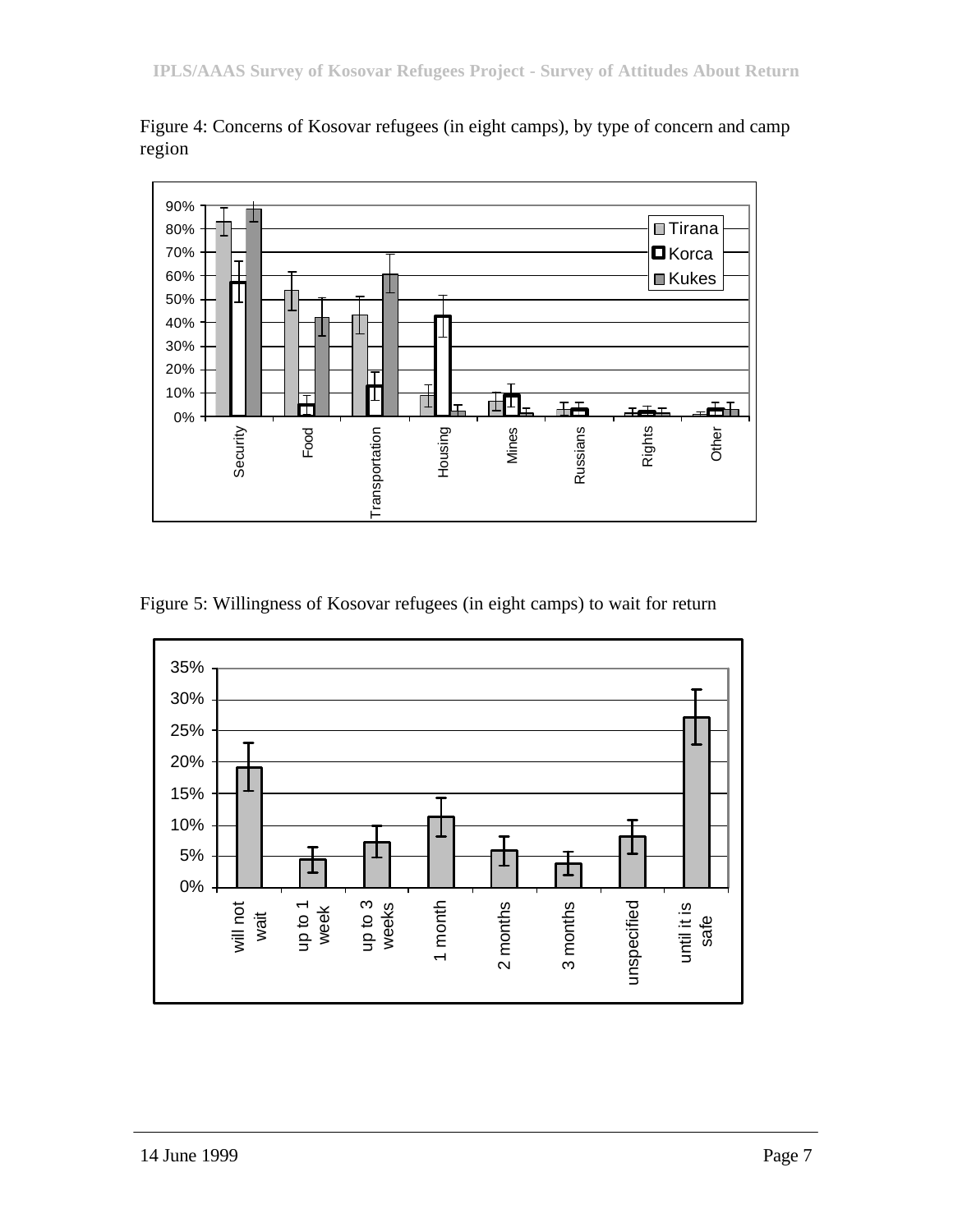

Figure 4: Concerns of Kosovar refugees (in eight camps), by type of concern and camp region

Figure 5: Willingness of Kosovar refugees (in eight camps) to wait for return

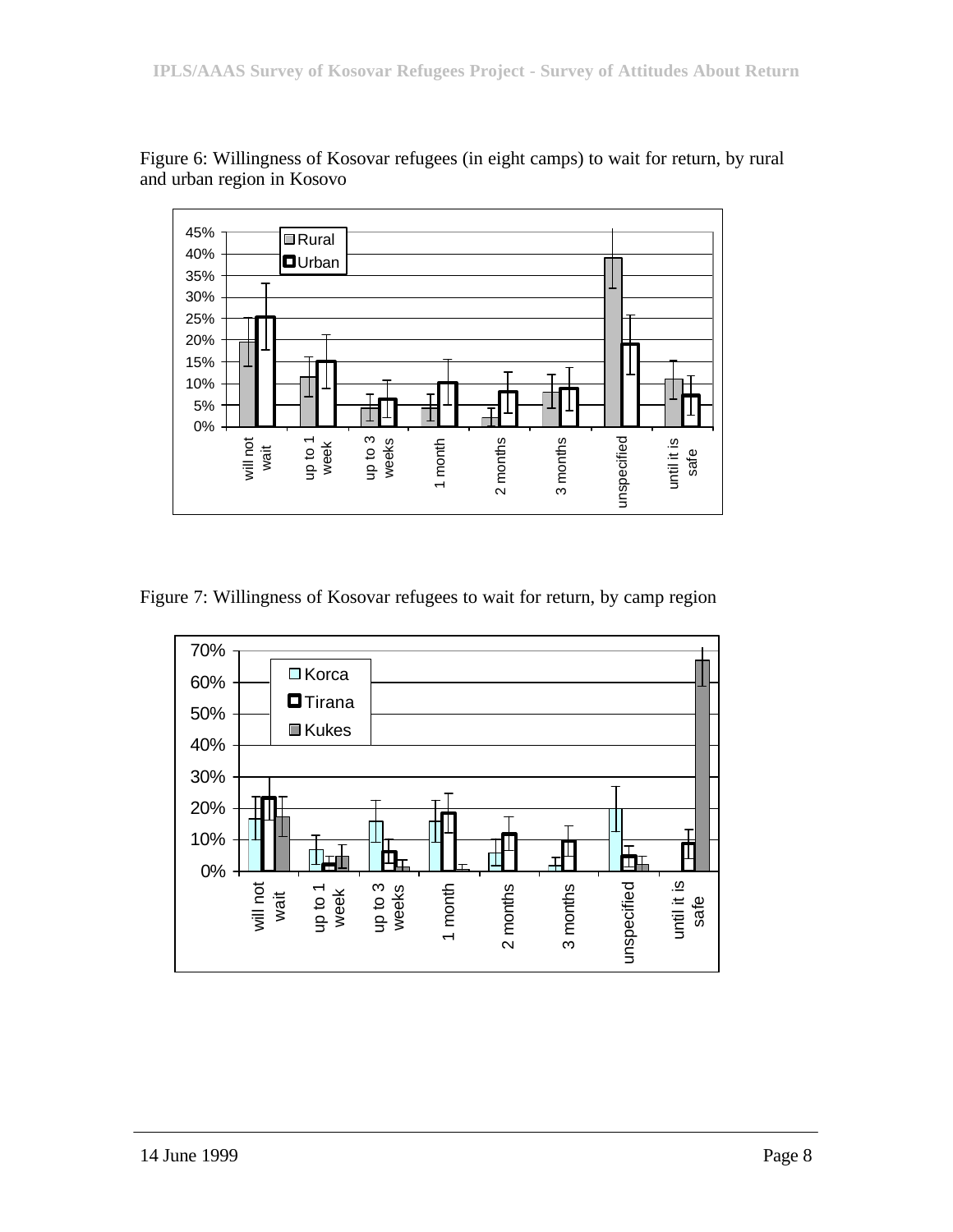

Figure 6: Willingness of Kosovar refugees (in eight camps) to wait for return, by rural and urban region in Kosovo

Figure 7: Willingness of Kosovar refugees to wait for return, by camp region

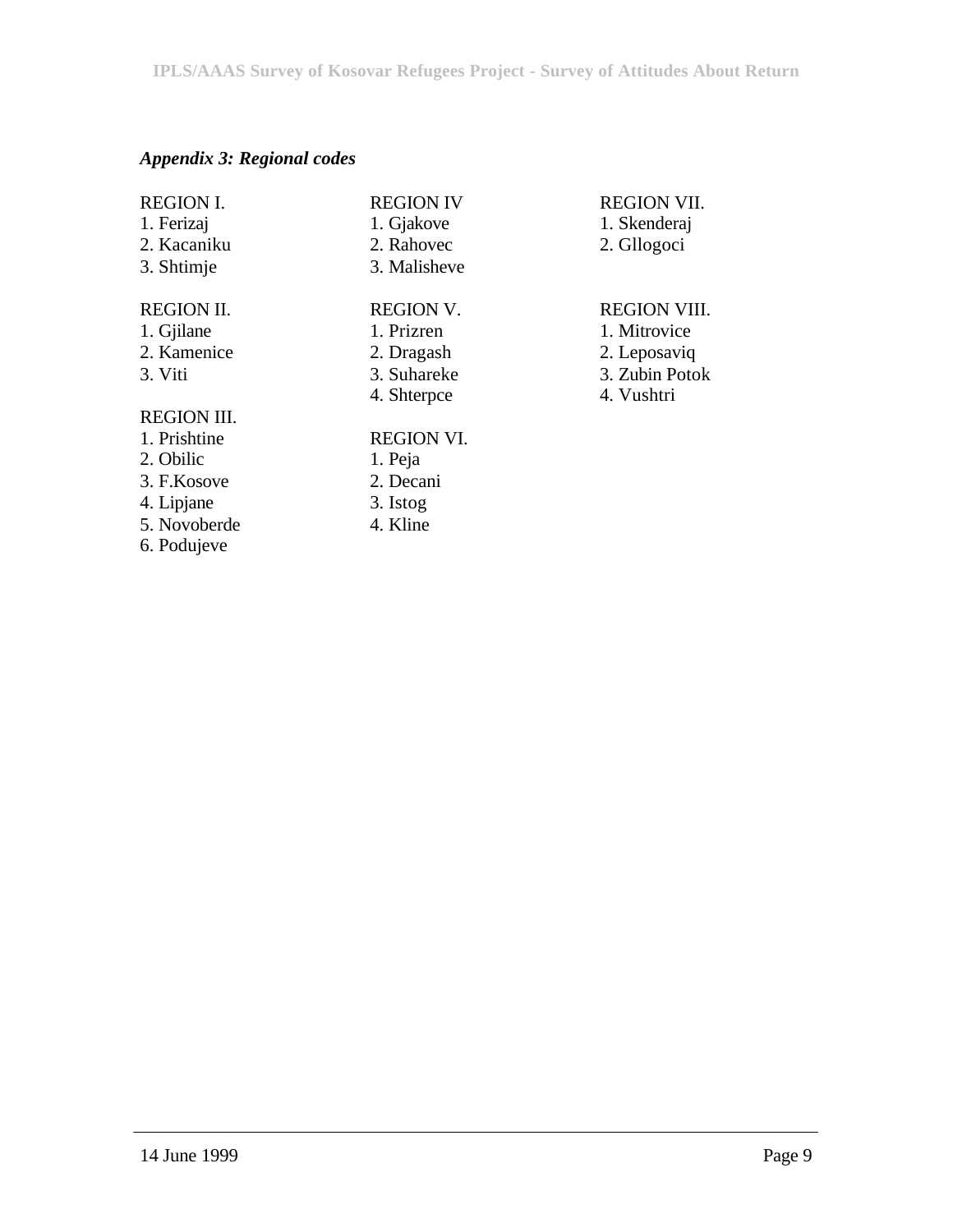# *Appendix 3: Regional codes*

| <b>REGION I.</b>   | <b>REGION IV</b>  | <b>REGI</b> |
|--------------------|-------------------|-------------|
| 1. Ferizaj         | 1. Gjakove        | 1. Ske      |
| 2. Kacaniku        | 2. Rahovec        | 2. Gll      |
| 3. Shtimje         | 3. Malisheve      |             |
| <b>REGION II.</b>  | <b>REGION V.</b>  | <b>REGI</b> |
| 1. Gjilane         | 1. Prizren        | 1. Mit      |
| 2. Kamenice        | 2. Dragash        | 2. Lep      |
| 3. Viti            | 3. Suhareke       | 3. Zub      |
|                    | 4. Shterpce       | 4. Vus      |
| <b>REGION III.</b> |                   |             |
| 1. Prishtine       | <b>REGION VI.</b> |             |
| 2. Obilic          | 1. Peja           |             |
| 3. F.Kosove        | 2. Decani         |             |
| 4. Lipjane         | 3. Istog          |             |
| 5. Novoberde       | 4. Kline          |             |
| 6. Podujeve        |                   |             |

# ON VII.

- enderaj
- ogoci

## ON VIII.

- trovice
- posaviq
- $\overline{\text{2}}$  potok
- shtri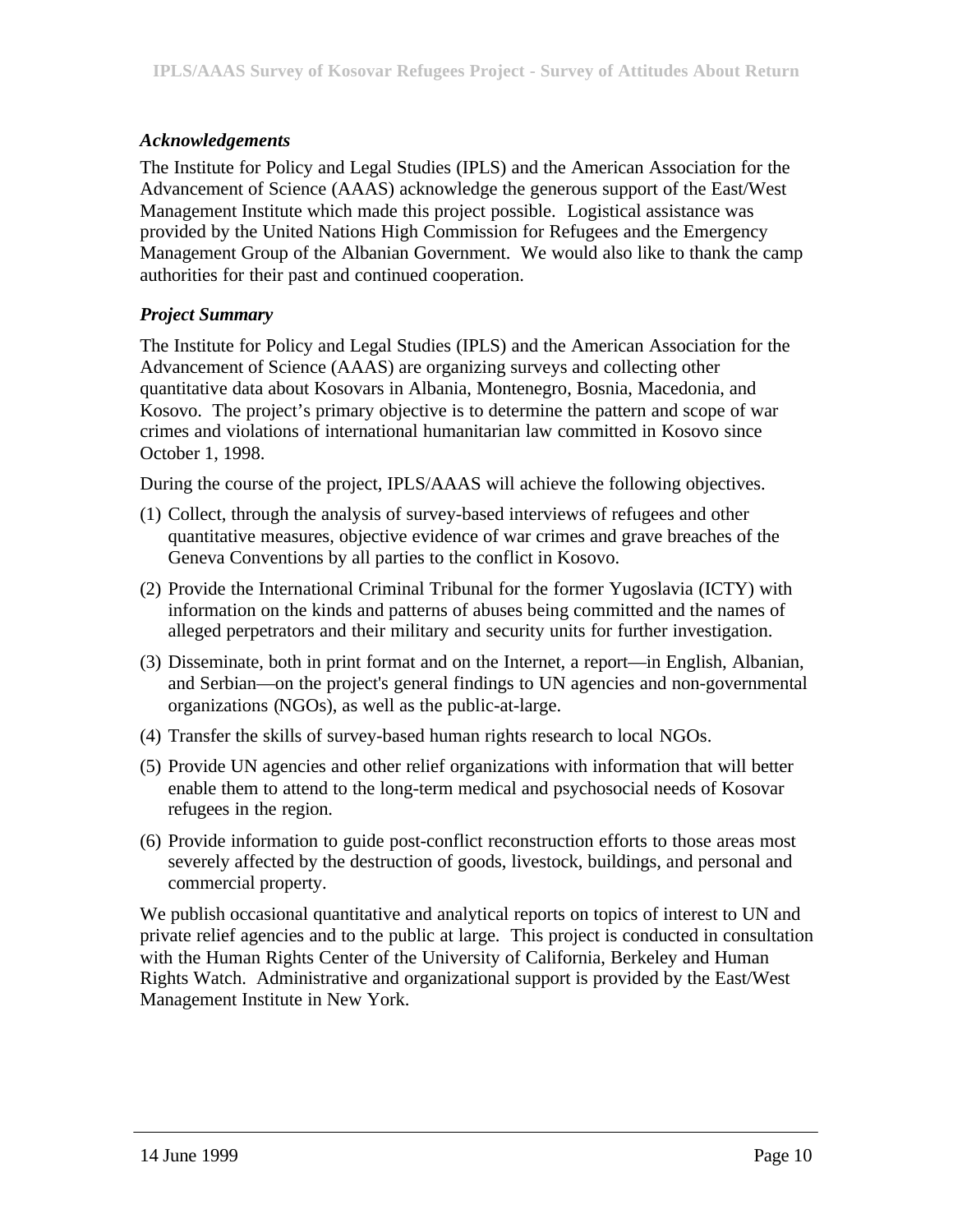## *Acknowledgements*

The Institute for Policy and Legal Studies (IPLS) and the American Association for the Advancement of Science (AAAS) acknowledge the generous support of the East/West Management Institute which made this project possible. Logistical assistance was provided by the United Nations High Commission for Refugees and the Emergency Management Group of the Albanian Government. We would also like to thank the camp authorities for their past and continued cooperation.

## *Project Summary*

The Institute for Policy and Legal Studies (IPLS) and the American Association for the Advancement of Science (AAAS) are organizing surveys and collecting other quantitative data about Kosovars in Albania, Montenegro, Bosnia, Macedonia, and Kosovo. The project's primary objective is to determine the pattern and scope of war crimes and violations of international humanitarian law committed in Kosovo since October 1, 1998.

During the course of the project, IPLS/AAAS will achieve the following objectives.

- (1) Collect, through the analysis of survey-based interviews of refugees and other quantitative measures, objective evidence of war crimes and grave breaches of the Geneva Conventions by all parties to the conflict in Kosovo.
- (2) Provide the International Criminal Tribunal for the former Yugoslavia (ICTY) with information on the kinds and patterns of abuses being committed and the names of alleged perpetrators and their military and security units for further investigation.
- (3) Disseminate, both in print format and on the Internet, a report—in English, Albanian, and Serbian—on the project's general findings to UN agencies and non-governmental organizations (NGOs), as well as the public-at-large.
- (4) Transfer the skills of survey-based human rights research to local NGOs.
- (5) Provide UN agencies and other relief organizations with information that will better enable them to attend to the long-term medical and psychosocial needs of Kosovar refugees in the region.
- (6) Provide information to guide post-conflict reconstruction efforts to those areas most severely affected by the destruction of goods, livestock, buildings, and personal and commercial property.

We publish occasional quantitative and analytical reports on topics of interest to UN and private relief agencies and to the public at large. This project is conducted in consultation with the Human Rights Center of the University of California, Berkeley and Human Rights Watch. Administrative and organizational support is provided by the East/West Management Institute in New York.